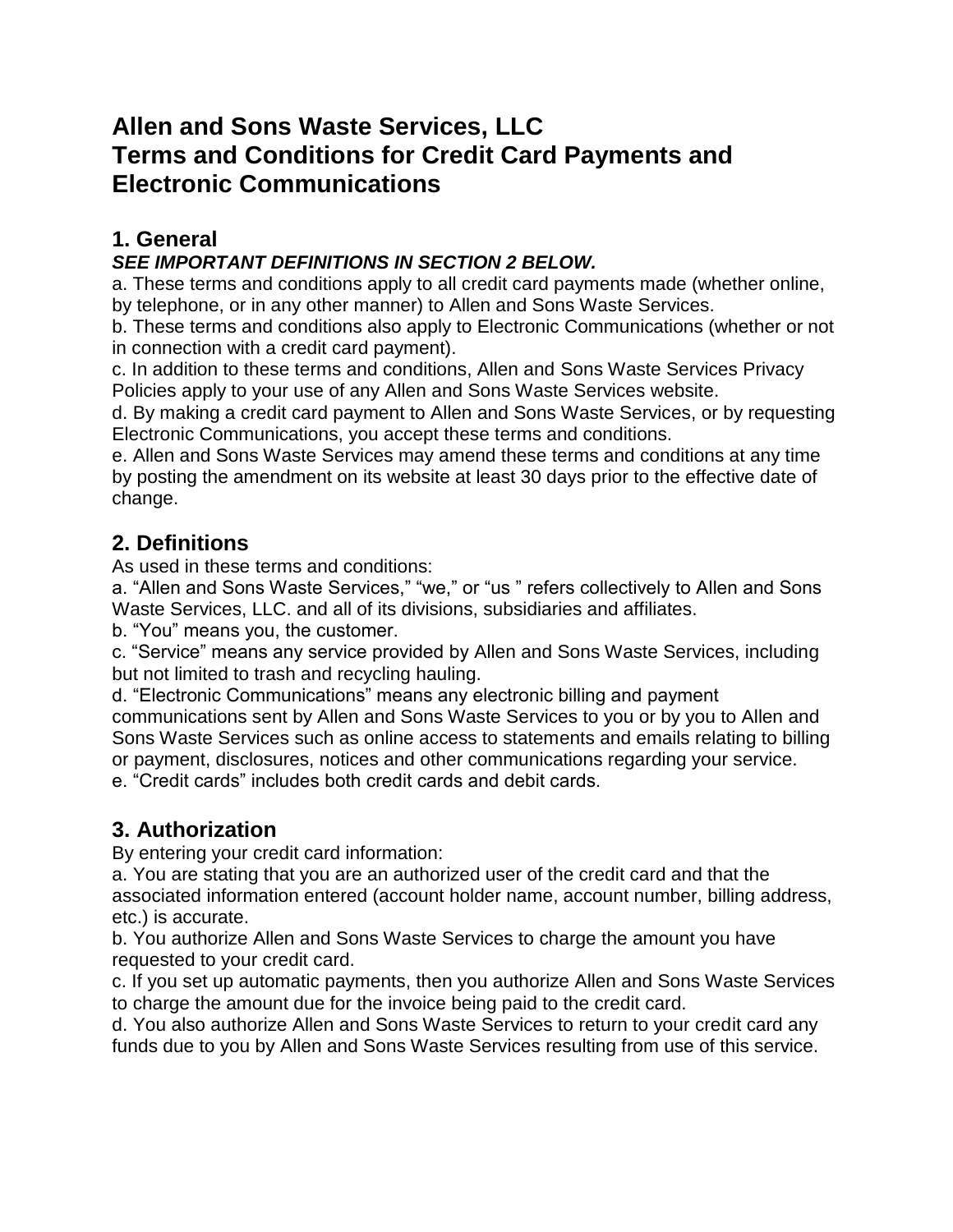# **Allen and Sons Waste Services, LLC Terms and Conditions for Credit Card Payments and Electronic Communications**

### **1. General**

#### *SEE IMPORTANT DEFINITIONS IN SECTION 2 BELOW.*

a. These terms and conditions apply to all credit card payments made (whether online, by telephone, or in any other manner) to Allen and Sons Waste Services.

b. These terms and conditions also apply to Electronic Communications (whether or not in connection with a credit card payment).

c. In addition to these terms and conditions, Allen and Sons Waste Services Privacy Policies apply to your use of any Allen and Sons Waste Services website.

d. By making a credit card payment to Allen and Sons Waste Services, or by requesting Electronic Communications, you accept these terms and conditions.

e. Allen and Sons Waste Services may amend these terms and conditions at any time by posting the amendment on its website at least 30 days prior to the effective date of change.

#### **2. Definitions**

As used in these terms and conditions:

a. "Allen and Sons Waste Services," "we," or "us " refers collectively to Allen and Sons Waste Services, LLC. and all of its divisions, subsidiaries and affiliates.

b. "You" means you, the customer.

c. "Service" means any service provided by Allen and Sons Waste Services, including but not limited to trash and recycling hauling.

d. "Electronic Communications" means any electronic billing and payment communications sent by Allen and Sons Waste Services to you or by you to Allen and Sons Waste Services such as online access to statements and emails relating to billing or payment, disclosures, notices and other communications regarding your service. e. "Credit cards" includes both credit cards and debit cards.

# **3. Authorization**

By entering your credit card information:

a. You are stating that you are an authorized user of the credit card and that the associated information entered (account holder name, account number, billing address, etc.) is accurate.

b. You authorize Allen and Sons Waste Services to charge the amount you have requested to your credit card.

c. If you set up automatic payments, then you authorize Allen and Sons Waste Services to charge the amount due for the invoice being paid to the credit card.

d. You also authorize Allen and Sons Waste Services to return to your credit card any funds due to you by Allen and Sons Waste Services resulting from use of this service.